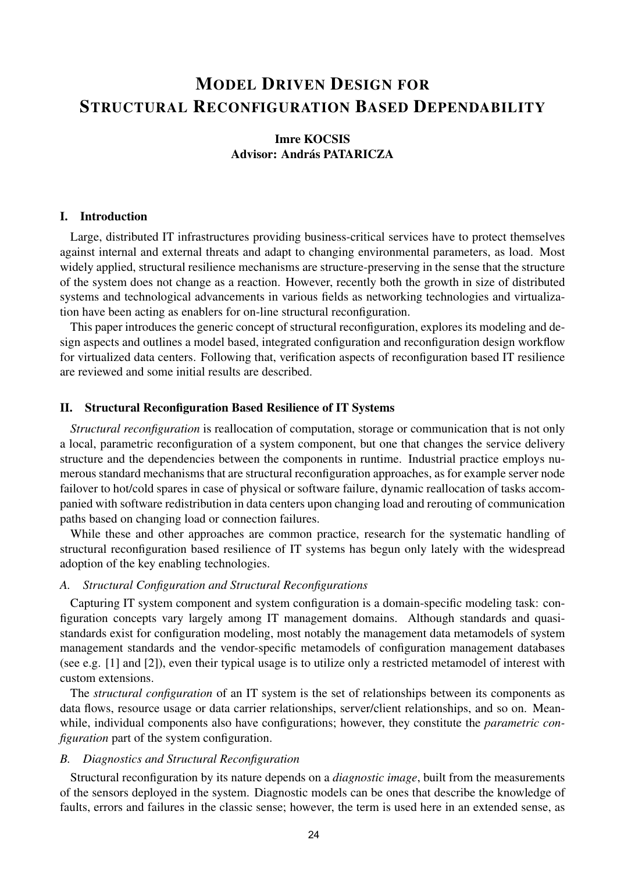# MODEL DRIVEN DESIGN FOR STRUCTURAL RECONFIGURATION BASED DEPENDABILITY

# Imre KOCSIS Advisor: András PATARICZA

#### I. Introduction

Large, distributed IT infrastructures providing business-critical services have to protect themselves against internal and external threats and adapt to changing environmental parameters, as load. Most widely applied, structural resilience mechanisms are structure-preserving in the sense that the structure of the system does not change as a reaction. However, recently both the growth in size of distributed systems and technological advancements in various fields as networking technologies and virtualization have been acting as enablers for on-line structural reconfiguration.

This paper introduces the generic concept of structural reconfiguration, explores its modeling and design aspects and outlines a model based, integrated configuration and reconfiguration design workflow for virtualized data centers. Following that, verification aspects of reconfiguration based IT resilience are reviewed and some initial results are described.

#### II. Structural Reconfiguration Based Resilience of IT Systems

*Structural reconfiguration* is reallocation of computation, storage or communication that is not only a local, parametric reconfiguration of a system component, but one that changes the service delivery structure and the dependencies between the components in runtime. Industrial practice employs numerous standard mechanisms that are structural reconfiguration approaches, as for example server node failover to hot/cold spares in case of physical or software failure, dynamic reallocation of tasks accompanied with software redistribution in data centers upon changing load and rerouting of communication paths based on changing load or connection failures.

While these and other approaches are common practice, research for the systematic handling of structural reconfiguration based resilience of IT systems has begun only lately with the widespread adoption of the key enabling technologies.

#### *A. Structural Configuration and Structural Reconfigurations*

Capturing IT system component and system configuration is a domain-specific modeling task: configuration concepts vary largely among IT management domains. Although standards and quasistandards exist for configuration modeling, most notably the management data metamodels of system management standards and the vendor-specific metamodels of configuration management databases (see e.g. [1] and [2]), even their typical usage is to utilize only a restricted metamodel of interest with custom extensions.

The *structural configuration* of an IT system is the set of relationships between its components as data flows, resource usage or data carrier relationships, server/client relationships, and so on. Meanwhile, individual components also have configurations; however, they constitute the *parametric configuration* part of the system configuration.

#### *B. Diagnostics and Structural Reconfiguration*

Structural reconfiguration by its nature depends on a *diagnostic image*, built from the measurements of the sensors deployed in the system. Diagnostic models can be ones that describe the knowledge of faults, errors and failures in the classic sense; however, the term is used here in an extended sense, as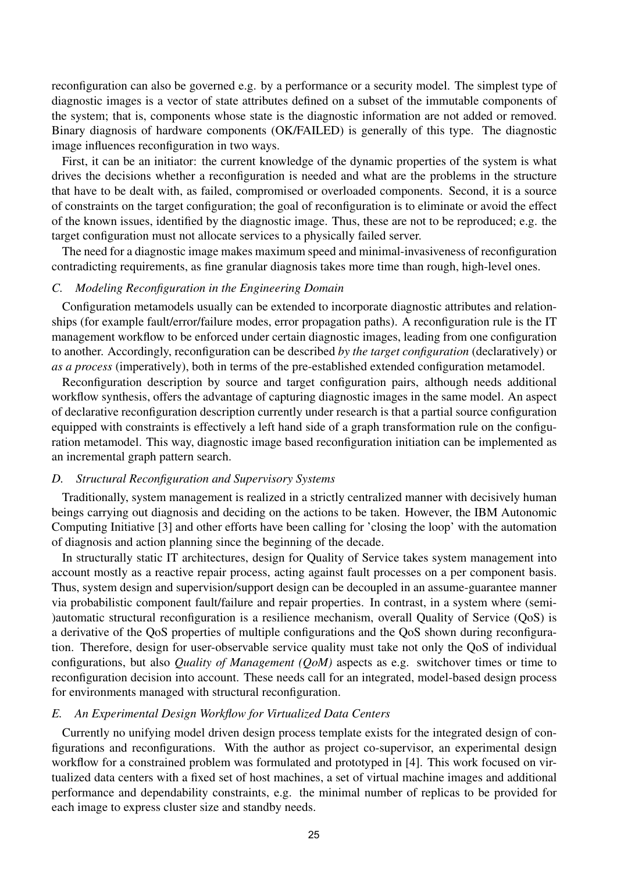reconfiguration can also be governed e.g. by a performance or a security model. The simplest type of diagnostic images is a vector of state attributes defined on a subset of the immutable components of the system; that is, components whose state is the diagnostic information are not added or removed. Binary diagnosis of hardware components (OK/FAILED) is generally of this type. The diagnostic image influences reconfiguration in two ways.

First, it can be an initiator: the current knowledge of the dynamic properties of the system is what drives the decisions whether a reconfiguration is needed and what are the problems in the structure that have to be dealt with, as failed, compromised or overloaded components. Second, it is a source of constraints on the target configuration; the goal of reconfiguration is to eliminate or avoid the effect of the known issues, identified by the diagnostic image. Thus, these are not to be reproduced; e.g. the target configuration must not allocate services to a physically failed server.

The need for a diagnostic image makes maximum speed and minimal-invasiveness of reconfiguration contradicting requirements, as fine granular diagnosis takes more time than rough, high-level ones.

#### *C. Modeling Reconfiguration in the Engineering Domain*

Configuration metamodels usually can be extended to incorporate diagnostic attributes and relationships (for example fault/error/failure modes, error propagation paths). A reconfiguration rule is the IT management workflow to be enforced under certain diagnostic images, leading from one configuration to another. Accordingly, reconfiguration can be described *by the target configuration* (declaratively) or *as a process* (imperatively), both in terms of the pre-established extended configuration metamodel.

Reconfiguration description by source and target configuration pairs, although needs additional workflow synthesis, offers the advantage of capturing diagnostic images in the same model. An aspect of declarative reconfiguration description currently under research is that a partial source configuration equipped with constraints is effectively a left hand side of a graph transformation rule on the configuration metamodel. This way, diagnostic image based reconfiguration initiation can be implemented as an incremental graph pattern search.

#### *D. Structural Reconfiguration and Supervisory Systems*

Traditionally, system management is realized in a strictly centralized manner with decisively human beings carrying out diagnosis and deciding on the actions to be taken. However, the IBM Autonomic Computing Initiative [3] and other efforts have been calling for 'closing the loop' with the automation of diagnosis and action planning since the beginning of the decade.

In structurally static IT architectures, design for Quality of Service takes system management into account mostly as a reactive repair process, acting against fault processes on a per component basis. Thus, system design and supervision/support design can be decoupled in an assume-guarantee manner via probabilistic component fault/failure and repair properties. In contrast, in a system where (semi- )automatic structural reconfiguration is a resilience mechanism, overall Quality of Service (QoS) is a derivative of the QoS properties of multiple configurations and the QoS shown during reconfiguration. Therefore, design for user-observable service quality must take not only the QoS of individual configurations, but also *Quality of Management (QoM)* aspects as e.g. switchover times or time to reconfiguration decision into account. These needs call for an integrated, model-based design process for environments managed with structural reconfiguration.

#### *E. An Experimental Design Workflow for Virtualized Data Centers*

Currently no unifying model driven design process template exists for the integrated design of configurations and reconfigurations. With the author as project co-supervisor, an experimental design workflow for a constrained problem was formulated and prototyped in [4]. This work focused on virtualized data centers with a fixed set of host machines, a set of virtual machine images and additional performance and dependability constraints, e.g. the minimal number of replicas to be provided for each image to express cluster size and standby needs.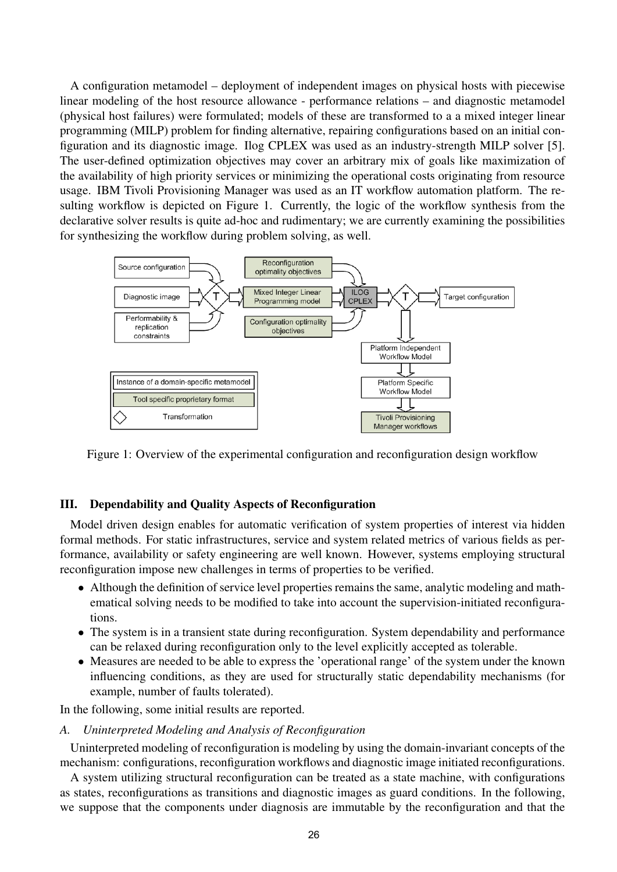A configuration metamodel – deployment of independent images on physical hosts with piecewise linear modeling of the host resource allowance - performance relations – and diagnostic metamodel (physical host failures) were formulated; models of these are transformed to a a mixed integer linear programming (MILP) problem for finding alternative, repairing configurations based on an initial configuration and its diagnostic image. Ilog CPLEX was used as an industry-strength MILP solver [5]. The user-defined optimization objectives may cover an arbitrary mix of goals like maximization of the availability of high priority services or minimizing the operational costs originating from resource usage. IBM Tivoli Provisioning Manager was used as an IT workflow automation platform. The resulting workflow is depicted on Figure 1. Currently, the logic of the workflow synthesis from the declarative solver results is quite ad-hoc and rudimentary; we are currently examining the possibilities for synthesizing the workflow during problem solving, as well.



Figure 1: Overview of the experimental configuration and reconfiguration design workflow

## III. Dependability and Quality Aspects of Reconfiguration

Model driven design enables for automatic verification of system properties of interest via hidden formal methods. For static infrastructures, service and system related metrics of various fields as performance, availability or safety engineering are well known. However, systems employing structural reconfiguration impose new challenges in terms of properties to be verified.

- Although the definition of service level properties remains the same, analytic modeling and mathematical solving needs to be modified to take into account the supervision-initiated reconfigurations.
- The system is in a transient state during reconfiguration. System dependability and performance can be relaxed during reconfiguration only to the level explicitly accepted as tolerable.
- Measures are needed to be able to express the 'operational range' of the system under the known influencing conditions, as they are used for structurally static dependability mechanisms (for example, number of faults tolerated).

In the following, some initial results are reported.

*A. Uninterpreted Modeling and Analysis of Reconfiguration*

Uninterpreted modeling of reconfiguration is modeling by using the domain-invariant concepts of the mechanism: configurations, reconfiguration workflows and diagnostic image initiated reconfigurations.

A system utilizing structural reconfiguration can be treated as a state machine, with configurations as states, reconfigurations as transitions and diagnostic images as guard conditions. In the following, we suppose that the components under diagnosis are immutable by the reconfiguration and that the